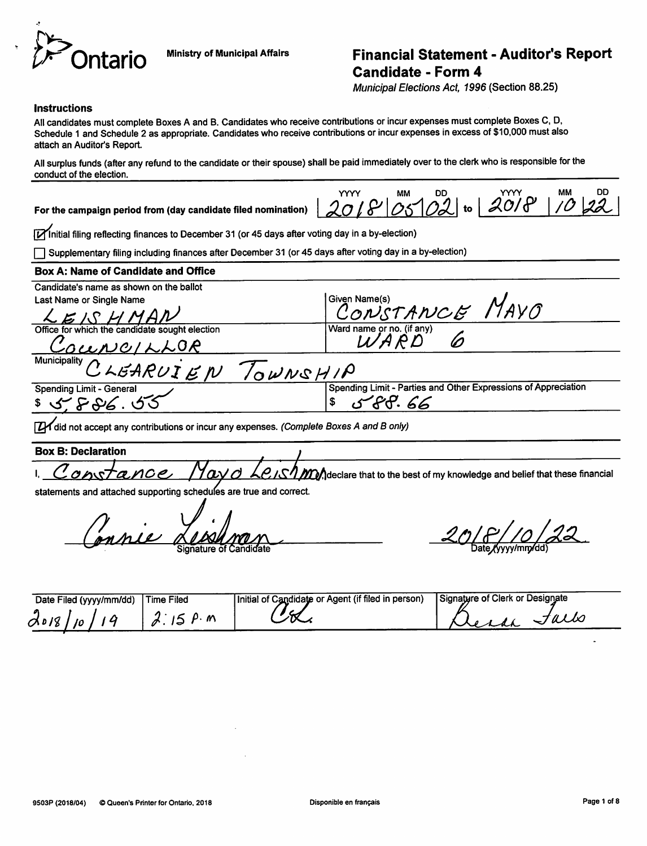

## Ministry of Municipal Affairs Financial Statement - Auditor's Report Candidate - Form 4

Municipal Elections Act, 1996 (Section 88.25)

#### **Instructions**

All candidates must complete Boxes A and B. Candidates who receive contributions or incur expenses must complete Boxes C, D, Schedule 1 and Schedule 2 as appropriate. Candidates who receive contributions or incur expenses in excess of \$10,000 must also attach an Auditor's Report.

All surplus funds (after any refund to the candidate or their spouse) shall be paid immediately over to the clerk who is responsible for the conduct of the election.

For the campaign period from (day candidate filed nomination)

YYYY MM DD YYYY YYYY MM DD YYYY MM DD  $2018$  05 02 to  $2018$ .

[Mnitial filing reflecting finances to December 31 (or 45 days after voting day in a by-election)

r~| Supplementary filing including finances after December 31 (or 45 days after voting day in a by-election)

#### Box A: Name of Candidate and Office

| Candidate's name as shown on the ballot        |                                                                                     |
|------------------------------------------------|-------------------------------------------------------------------------------------|
| Last Name or Single Name                       |                                                                                     |
| LEISHMAN                                       | Siven Name(s)<br>CONSTANCE MAYO                                                     |
| Office for which the candidate sought election | Ward name or no. (if any)<br>$\begin{pmatrix} 1 & A & A \\ C & D & D \end{pmatrix}$ |
| COUNCILLOR                                     |                                                                                     |
| Municipality CLEARUIEN TOWNSHIP                |                                                                                     |
|                                                |                                                                                     |
| <b>Spending Limit - General</b>                | Spending Limit - Parties and Other Expressions of Appreciation                      |
| \$5.586.55                                     | 588.66                                                                              |
|                                                |                                                                                     |

**[ZX** did not accept any contributions or incur any expenses. (Complete Boxes A and B only)

**Box B: Declaration** I. Constant and  $\ell$  //avd Le.IS/MM declare that to the best of my knowledge and belief that these financial

statements and attached supporting schedules are true and correct

y .<br>mnie

 $20/8/10/22$ 

| Date Filed (yyyy/mm/dd) | Time Filed | Initial of Candidate or Agent (if filed in person) | Signature of Clerk or Designate |
|-------------------------|------------|----------------------------------------------------|---------------------------------|
| 0.018                   | M          |                                                    |                                 |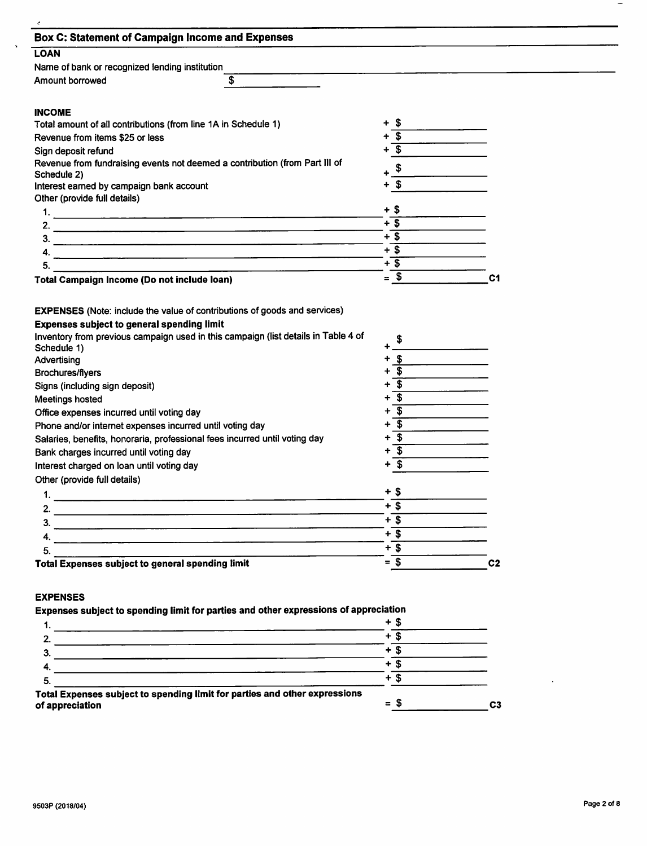| <b>Box C: Statement of Campaign Income and Expenses</b>                                                                                                                                                                                               |                                                        |                |  |
|-------------------------------------------------------------------------------------------------------------------------------------------------------------------------------------------------------------------------------------------------------|--------------------------------------------------------|----------------|--|
| <b>LOAN</b>                                                                                                                                                                                                                                           |                                                        |                |  |
| Name of bank or recognized lending institution                                                                                                                                                                                                        |                                                        |                |  |
| \$<br>Amount borrowed                                                                                                                                                                                                                                 |                                                        |                |  |
|                                                                                                                                                                                                                                                       |                                                        |                |  |
| <b>INCOME</b>                                                                                                                                                                                                                                         |                                                        |                |  |
| Total amount of all contributions (from line 1A in Schedule 1)                                                                                                                                                                                        | + \$                                                   |                |  |
| Revenue from items \$25 or less                                                                                                                                                                                                                       | $\overline{\mathbf{s}}$                                |                |  |
| Sign deposit refund                                                                                                                                                                                                                                   | $\mathbf{r}$                                           |                |  |
| Revenue from fundraising events not deemed a contribution (from Part III of                                                                                                                                                                           |                                                        |                |  |
| Schedule 2)                                                                                                                                                                                                                                           | \$                                                     |                |  |
| Interest earned by campaign bank account                                                                                                                                                                                                              | -\$<br>+                                               |                |  |
| Other (provide full details)                                                                                                                                                                                                                          |                                                        |                |  |
|                                                                                                                                                                                                                                                       | + \$                                                   |                |  |
| 2.                                                                                                                                                                                                                                                    | $+$ \$                                                 |                |  |
| 3.                                                                                                                                                                                                                                                    | $+$ \$                                                 |                |  |
| 4.                                                                                                                                                                                                                                                    | $+$ \$                                                 |                |  |
| 5.<br><u> 1980 - Johann John Stone, markin fan it ferstjer fan de ferstjer fan it ferstjer fan it ferstjer fan it fers</u>                                                                                                                            | $+$ \$                                                 |                |  |
| Total Campaign Income (Do not include loan)                                                                                                                                                                                                           | $=$ \$                                                 | C <sub>1</sub> |  |
| <b>Expenses subject to general spending limit</b><br>Inventory from previous campaign used in this campaign (list details in Table 4 of<br>Schedule 1)<br>Advertising<br><b>Brochures/flyers</b><br>Signs (including sign deposit)<br>Meetings hosted | $\mathbf{s}$<br>-\$<br>- \$<br>$\overline{\mathbf{s}}$ |                |  |
| Office expenses incurred until voting day                                                                                                                                                                                                             | $+$ \$                                                 |                |  |
| Phone and/or internet expenses incurred until voting day                                                                                                                                                                                              | $\overline{\mathbf{3}}$                                |                |  |
| Salaries, benefits, honoraria, professional fees incurred until voting day                                                                                                                                                                            | $\overline{\mathbf{3}}$                                |                |  |
| Bank charges incurred until voting day                                                                                                                                                                                                                | $+$ \$                                                 |                |  |
| Interest charged on loan until voting day                                                                                                                                                                                                             |                                                        |                |  |
| Other (provide full details)                                                                                                                                                                                                                          |                                                        |                |  |
| 1.                                                                                                                                                                                                                                                    | + \$                                                   |                |  |
| 2.                                                                                                                                                                                                                                                    | $+$ \$                                                 |                |  |
| 3.                                                                                                                                                                                                                                                    | $+\overline{\$}$                                       |                |  |
| 4.                                                                                                                                                                                                                                                    | $+\overline{\$}$                                       |                |  |
| 5.                                                                                                                                                                                                                                                    | $+\overline{\$}$                                       |                |  |
| Total Expenses subject to general spending limit                                                                                                                                                                                                      | $=$ \$                                                 | C <sub>2</sub> |  |
| <b>EXPENSES</b>                                                                                                                                                                                                                                       |                                                        |                |  |
| Expenses subject to spending limit for parties and other expressions of appreciation                                                                                                                                                                  |                                                        |                |  |
|                                                                                                                                                                                                                                                       | $+$ \$                                                 |                |  |
| າ                                                                                                                                                                                                                                                     | $+\overline{\$}$                                       |                |  |

|                                                                                               | Ŧ             |                |
|-----------------------------------------------------------------------------------------------|---------------|----------------|
|                                                                                               |               |                |
|                                                                                               | ٠             |                |
|                                                                                               |               |                |
| 5                                                                                             | ╇             |                |
| Total Expenses subject to spending limit for parties and other expressions<br>of appreciation | S<br>$\equiv$ | C <sub>3</sub> |

 $\sim$ 

 $\overline{\phantom{a}}$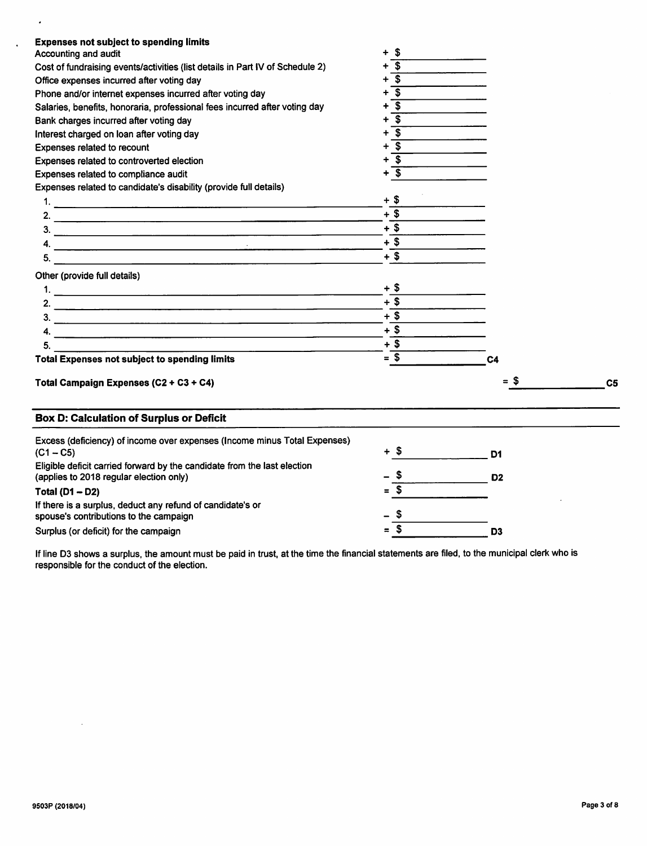| <b>Expenses not subject to spending limits</b>                                | $\boldsymbol{\mathsf{s}}$<br>$\ddotmark$ |                |                |
|-------------------------------------------------------------------------------|------------------------------------------|----------------|----------------|
| Accounting and audit                                                          | -\$                                      |                |                |
| Cost of fundraising events/activities (list details in Part IV of Schedule 2) | $+$ \$                                   |                |                |
| Office expenses incurred after voting day                                     | $\overline{\mathbf{s}}$                  |                |                |
| Phone and/or internet expenses incurred after voting day                      | $\overline{\mathbf{3}}$                  |                |                |
| Salaries, benefits, honoraria, professional fees incurred after voting day    | ٠                                        |                |                |
| Bank charges incurred after voting day                                        | \$<br>+                                  |                |                |
| Interest charged on loan after voting day                                     | \$                                       |                |                |
| Expenses related to recount                                                   | $\boldsymbol{s}$<br>$\ddot{}$            |                |                |
| Expenses related to controverted election                                     | -\$<br>$\ddot{}$                         |                |                |
| Expenses related to compliance audit                                          | $+$ $\overline{\$}$                      |                |                |
| Expenses related to candidate's disability (provide full details)             |                                          |                |                |
|                                                                               | $+$ \$                                   |                |                |
|                                                                               | $+$ \$                                   |                |                |
|                                                                               | $+$ \$                                   |                |                |
|                                                                               | $+$ \$                                   |                |                |
| 5.                                                                            | $+$ \$                                   |                |                |
| Other (provide full details)                                                  |                                          |                |                |
|                                                                               | + \$                                     |                |                |
|                                                                               | $+$ \$                                   |                |                |
| 3.                                                                            | $+$ \$                                   |                |                |
|                                                                               | $+$ \$                                   |                |                |
| 4. $\overline{\phantom{a}}$                                                   | $+$ \$                                   |                |                |
| <b>Total Expenses not subject to spending limits</b>                          | $=$ \$                                   | C <sub>4</sub> |                |
|                                                                               |                                          |                |                |
| Total Campaign Expenses (C2 + C3 + C4)                                        |                                          | = \$           | C <sub>5</sub> |
| <b>Box D: Calculation of Surplus or Deficit</b>                               |                                          |                |                |
| Excess (deficiency) of income over expenses (Income minus Total Expenses)     |                                          |                |                |
| $(C1 - C5)$                                                                   | $+$ \$                                   | D1             |                |
| Eligible deficit carried forward by the candidate from the last election      |                                          |                |                |
| (applies to 2018 regular election only)                                       | - \$                                     | D <sub>2</sub> |                |
| Total ( $D1 - D2$ )                                                           | $=$ \$                                   |                |                |
| If there is a surplus, deduct any refund of candidate's or                    |                                          |                |                |
| spouse's contributions to the campaign                                        | \$                                       |                |                |
| Surplus (or deficit) for the campaign                                         | $=$ \$                                   | D <sub>3</sub> |                |

If line D3 shows a surplus, the amount must be paid in trust, at the time the financial statements are filed, to the municipal clerk who is responsible for the conduct of the election.

 $\sim$   $\sim$ 

 $\mathcal{L}$ 

 $\mathcal{L}_{\mathbf{a}}$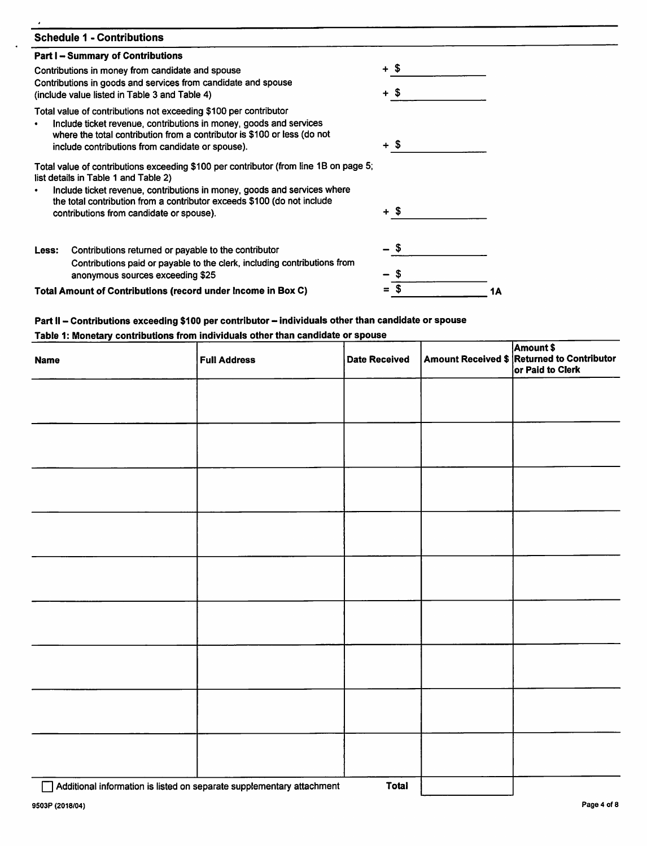| <b>Schedule 1 - Contributions</b>                                                                                                                                                                                                                                                                                                |          |    |
|----------------------------------------------------------------------------------------------------------------------------------------------------------------------------------------------------------------------------------------------------------------------------------------------------------------------------------|----------|----|
| <b>Part I - Summary of Contributions</b>                                                                                                                                                                                                                                                                                         |          |    |
| Contributions in money from candidate and spouse                                                                                                                                                                                                                                                                                 | + \$     |    |
| Contributions in goods and services from candidate and spouse<br>(include value listed in Table 3 and Table 4)                                                                                                                                                                                                                   | - 5<br>┿ |    |
| Total value of contributions not exceeding \$100 per contributor<br>Include ticket revenue, contributions in money, goods and services<br>where the total contribution from a contributor is \$100 or less (do not<br>include contributions from candidate or spouse).                                                           | + \$     |    |
| Total value of contributions exceeding \$100 per contributor (from line 1B on page 5;<br>list details in Table 1 and Table 2)<br>Include ticket revenue, contributions in money, goods and services where<br>the total contribution from a contributor exceeds \$100 (do not include<br>contributions from candidate or spouse). | + \$     |    |
| Contributions returned or payable to the contributor<br>Less:<br>Contributions paid or payable to the clerk, including contributions from<br>anonymous sources exceeding \$25                                                                                                                                                    | S        |    |
| Total Amount of Contributions (record under Income in Box C)                                                                                                                                                                                                                                                                     | \$       | 1Α |

# Part II – Contributions exceeding \$100 per contributor – individuals other than candidate or spouse<br>Table 1: Monetary contributions from individuals other than candidate or spouse

| <b>Name</b>                                                           | <b>Full Address</b> | <b>Date Received</b> | Amount \$<br>Amount Received \$ Returned to Contributor<br>or Paid to Clerk |
|-----------------------------------------------------------------------|---------------------|----------------------|-----------------------------------------------------------------------------|
|                                                                       |                     |                      |                                                                             |
|                                                                       |                     |                      |                                                                             |
|                                                                       |                     |                      |                                                                             |
|                                                                       |                     |                      |                                                                             |
|                                                                       |                     |                      |                                                                             |
|                                                                       |                     |                      |                                                                             |
|                                                                       |                     |                      |                                                                             |
|                                                                       |                     |                      |                                                                             |
|                                                                       |                     |                      |                                                                             |
| Additional information is listed on separate supplementary attachment |                     | <b>Total</b>         |                                                                             |

 $\mathbf{I}$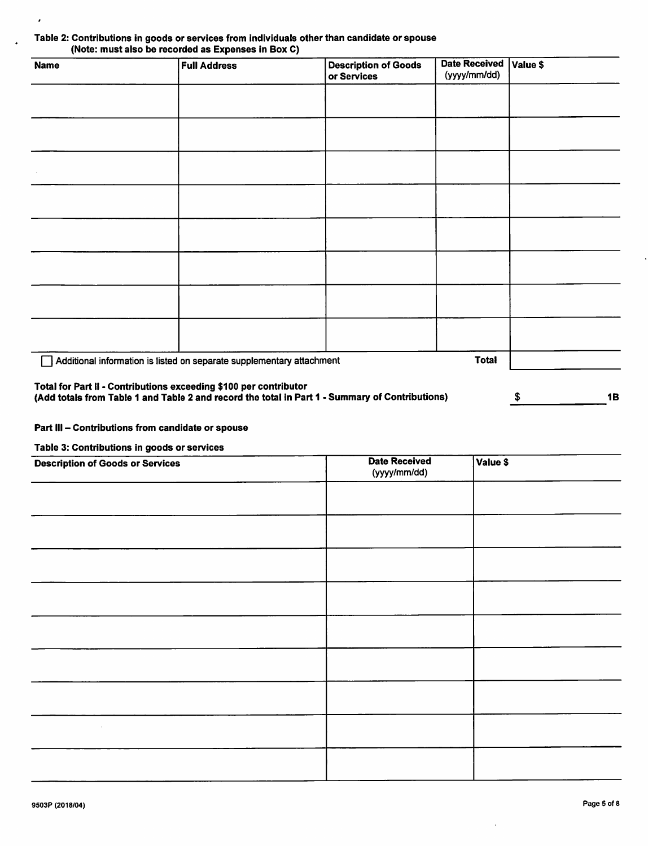#### Table 2: Contributions in goods or services from individuals other than candidate or spouse (Note: must also be recorded as Expenses in Box 0)

| <b>Name</b>                                                       | <b>Full Address</b>                                                                             | <b>Description of Goods</b><br>or Services | <b>Date Received</b><br>(yyyy/mm/dd) | Value \$ |           |
|-------------------------------------------------------------------|-------------------------------------------------------------------------------------------------|--------------------------------------------|--------------------------------------|----------|-----------|
|                                                                   |                                                                                                 |                                            |                                      |          |           |
|                                                                   |                                                                                                 |                                            |                                      |          |           |
|                                                                   |                                                                                                 |                                            |                                      |          |           |
|                                                                   |                                                                                                 |                                            |                                      |          |           |
|                                                                   |                                                                                                 |                                            |                                      |          |           |
|                                                                   |                                                                                                 |                                            |                                      |          |           |
|                                                                   |                                                                                                 |                                            |                                      |          |           |
|                                                                   |                                                                                                 |                                            |                                      |          |           |
|                                                                   | Additional information is listed on separate supplementary attachment                           |                                            | <b>Total</b>                         |          |           |
| Total for Part II - Contributions exceeding \$100 per contributor | (Add totals from Table 1 and Table 2 and record the total in Part 1 - Summary of Contributions) |                                            |                                      | \$       | <b>1B</b> |

#### Part III - Contributions from candidate or spouse

Table 3: Contributions in goods or services

 $\lambda$ 

J.

| <b>Description of Goods or Services</b> | <b>Date Received</b><br>(yyyy/mm/dd) | Value \$ |
|-----------------------------------------|--------------------------------------|----------|
|                                         |                                      |          |
|                                         |                                      |          |
|                                         |                                      |          |
|                                         |                                      |          |
|                                         |                                      |          |
|                                         |                                      |          |
|                                         |                                      |          |
|                                         |                                      |          |
|                                         |                                      |          |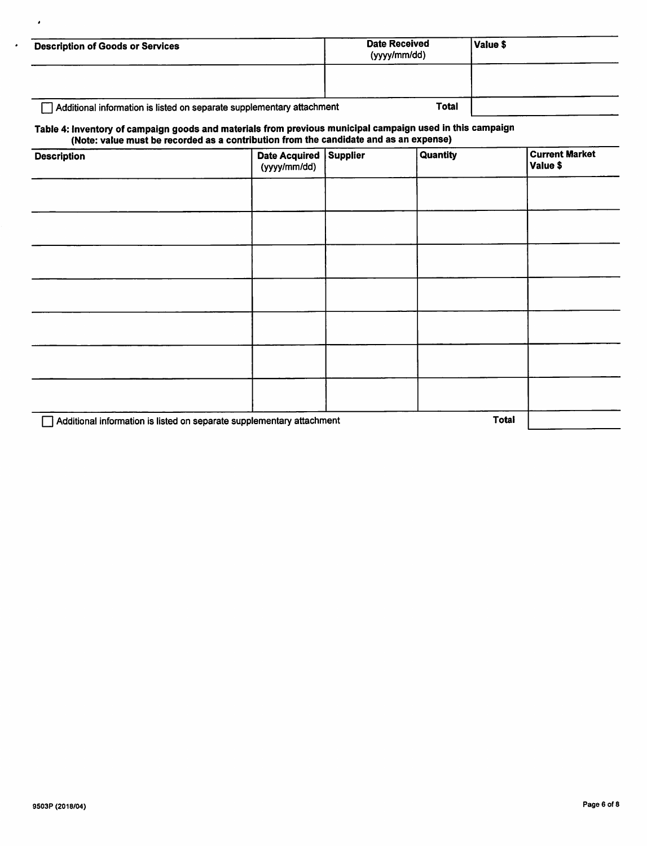| <b>Description of Goods or Services</b>                               | <b>Date Received</b><br>(yyyy/mm/dd) | Value \$ |
|-----------------------------------------------------------------------|--------------------------------------|----------|
|                                                                       |                                      |          |
| Additional information is listed on separate supplementary attachment | <b>Total</b>                         |          |

#### Table 4: Inventory of campaign goods and materials from previous municipal campaign used In this campaign (Note: value must be recorded as a contribution from the candidate and as an expense)

| <b>Description</b>                                                    | Date Acquired Supplier<br>(yyyy/mm/dd) | <b>Quantity</b> | <b>Current Market</b><br>Value \$ |
|-----------------------------------------------------------------------|----------------------------------------|-----------------|-----------------------------------|
|                                                                       |                                        |                 |                                   |
|                                                                       |                                        |                 |                                   |
|                                                                       |                                        |                 |                                   |
|                                                                       |                                        |                 |                                   |
|                                                                       |                                        |                 |                                   |
|                                                                       |                                        |                 |                                   |
|                                                                       |                                        |                 |                                   |
| Additional information is listed on separate supplementary attachment |                                        | Total           |                                   |

 $\cdot$ 

 $\cdot$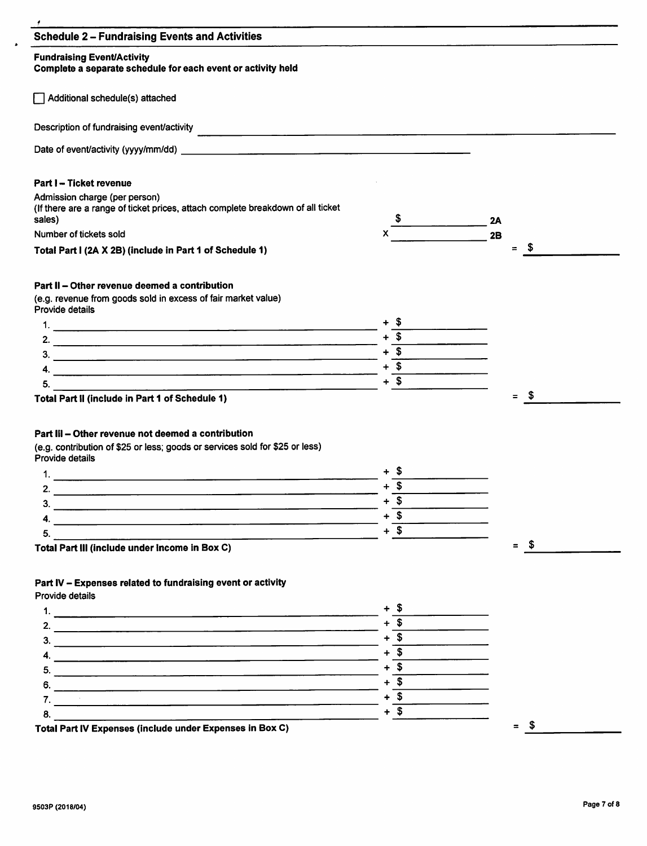| <b>Schedule 2 - Fundraising Events and Activities</b>                                                                                                                                                                                                            |                     |             |  |
|------------------------------------------------------------------------------------------------------------------------------------------------------------------------------------------------------------------------------------------------------------------|---------------------|-------------|--|
| <b>Fundraising Event/Activity</b><br>Complete a separate schedule for each event or activity held                                                                                                                                                                |                     |             |  |
| Additional schedule(s) attached                                                                                                                                                                                                                                  |                     |             |  |
| Description of fundraising event/activity                                                                                                                                                                                                                        |                     |             |  |
|                                                                                                                                                                                                                                                                  |                     |             |  |
| <b>Part I-Ticket revenue</b>                                                                                                                                                                                                                                     |                     |             |  |
| Admission charge (per person)<br>(If there are a range of ticket prices, attach complete breakdown of all ticket<br>sales)                                                                                                                                       |                     | 2A          |  |
| Number of tickets sold                                                                                                                                                                                                                                           |                     | 2B          |  |
| Total Part I (2A X 2B) (include in Part 1 of Schedule 1)                                                                                                                                                                                                         |                     | - \$<br>$=$ |  |
| Part II - Other revenue deemed a contribution                                                                                                                                                                                                                    |                     |             |  |
| (e.g. revenue from goods sold in excess of fair market value)<br>Provide details                                                                                                                                                                                 |                     |             |  |
|                                                                                                                                                                                                                                                                  |                     |             |  |
|                                                                                                                                                                                                                                                                  | $+$ \$              |             |  |
|                                                                                                                                                                                                                                                                  | $+$ \$              |             |  |
|                                                                                                                                                                                                                                                                  | $+$ \$              |             |  |
|                                                                                                                                                                                                                                                                  |                     |             |  |
| 4.<br>5.                                                                                                                                                                                                                                                         | $+$ \$              | - \$<br>$=$ |  |
|                                                                                                                                                                                                                                                                  |                     |             |  |
| 1.<br><u> 1980 - Jan Barat, amerikan bahasa di sebagai kecamatan di sebagai kecamatan di sebagai kecamatan di sebagai k</u>                                                                                                                                      |                     |             |  |
| 2.                                                                                                                                                                                                                                                               | $+$ \$              |             |  |
| 3.<br><u> 1989 - Johann Barbara, martin da basar a shekara tsara a shekara tsa a shekara tsara tsara tsara tsara tsara</u>                                                                                                                                       | $+$ \$<br>$+$ \$    |             |  |
|                                                                                                                                                                                                                                                                  | $+$ \$              |             |  |
| Total Part II (include in Part 1 of Schedule 1)<br>Part III - Other revenue not deemed a contribution<br>(e.g. contribution of \$25 or less; goods or services sold for \$25 or less)<br>Provide details<br>5.<br>Total Part III (include under Income in Box C) |                     | $=$ \$      |  |
|                                                                                                                                                                                                                                                                  |                     |             |  |
|                                                                                                                                                                                                                                                                  |                     |             |  |
|                                                                                                                                                                                                                                                                  |                     |             |  |
|                                                                                                                                                                                                                                                                  | $+$ $\overline{\$}$ |             |  |
|                                                                                                                                                                                                                                                                  | $+\overline{\$}$    |             |  |
|                                                                                                                                                                                                                                                                  | $+\overline{\$}$    |             |  |
|                                                                                                                                                                                                                                                                  | $+\overline{\$}$    |             |  |
| 6.                                                                                                                                                                                                                                                               | $+\overline{\$}$    |             |  |
| Part IV - Expenses related to fundraising event or activity<br>Provide details<br>7.<br>8.                                                                                                                                                                       | $+$ \$<br>$+$ \$    |             |  |

 $\hat{\boldsymbol{\lambda}}$